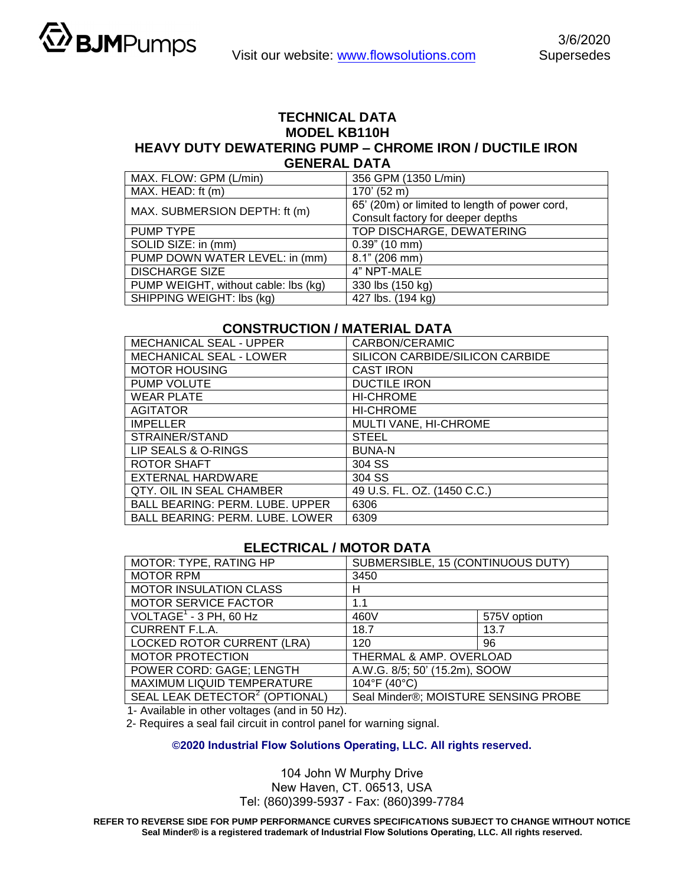

## **TECHNICAL DATA MODEL KB110H HEAVY DUTY DEWATERING PUMP – CHROME IRON / DUCTILE IRON GENERAL DATA**

| MAX. FLOW: GPM (L/min)               | 356 GPM (1350 L/min)                          |  |
|--------------------------------------|-----------------------------------------------|--|
| MAX. HEAD: ft (m)                    | 170' (52 m)                                   |  |
| MAX. SUBMERSION DEPTH: ft (m)        | 65' (20m) or limited to length of power cord, |  |
|                                      | Consult factory for deeper depths             |  |
| PUMP TYPE                            | TOP DISCHARGE, DEWATERING                     |  |
| SOLID SIZE: in (mm)                  | $0.39$ " (10 mm)                              |  |
| PUMP DOWN WATER LEVEL: in (mm)       | 8.1" (206 mm)                                 |  |
| <b>DISCHARGE SIZE</b>                | 4" NPT-MALE                                   |  |
| PUMP WEIGHT, without cable: lbs (kg) | 330 lbs (150 kg)                              |  |
| SHIPPING WEIGHT: Ibs (kg)            | 427 lbs. (194 kg)                             |  |

## **CONSTRUCTION / MATERIAL DATA**

| <b>MECHANICAL SEAL - UPPER</b>         | CARBON/CERAMIC                  |  |
|----------------------------------------|---------------------------------|--|
| <b>MECHANICAL SEAL - LOWER</b>         | SILICON CARBIDE/SILICON CARBIDE |  |
| <b>MOTOR HOUSING</b>                   | <b>CAST IRON</b>                |  |
| <b>PUMP VOLUTE</b>                     | <b>DUCTILE IRON</b>             |  |
| <b>WEAR PLATE</b>                      | <b>HI-CHROME</b>                |  |
| <b>AGITATOR</b>                        | <b>HI-CHROME</b>                |  |
| <b>IMPELLER</b>                        | MULTI VANE, HI-CHROME           |  |
| STRAINER/STAND                         | <b>STEEL</b>                    |  |
| LIP SEALS & O-RINGS                    | <b>BUNA-N</b>                   |  |
| <b>ROTOR SHAFT</b>                     | 304 SS                          |  |
| EXTERNAL HARDWARE                      | 304 SS                          |  |
| QTY, OIL IN SEAL CHAMBER               | 49 U.S. FL. OZ. (1450 C.C.)     |  |
| <b>BALL BEARING: PERM. LUBE. UPPER</b> | 6306                            |  |
| <b>BALL BEARING: PERM. LUBE. LOWER</b> | 6309                            |  |

## **ELECTRICAL / MOTOR DATA**

| MOTOR: TYPE, RATING HP                     | SUBMERSIBLE, 15 (CONTINUOUS DUTY)    |             |  |
|--------------------------------------------|--------------------------------------|-------------|--|
| <b>MOTOR RPM</b>                           | 3450                                 |             |  |
| <b>MOTOR INSULATION CLASS</b>              | н                                    |             |  |
| <b>MOTOR SERVICE FACTOR</b>                | 1.1                                  |             |  |
| VOLTAGE $1$ - 3 PH, 60 Hz                  | 460V                                 | 575V option |  |
| <b>CURRENT F.L.A.</b>                      | 18.7                                 | 13.7        |  |
| LOCKED ROTOR CURRENT (LRA)                 | 120                                  | 96          |  |
| <b>MOTOR PROTECTION</b>                    | THERMAL & AMP. OVERLOAD              |             |  |
| POWER CORD: GAGE; LENGTH                   | A.W.G. 8/5; 50' (15.2m), SOOW        |             |  |
| MAXIMUM LIQUID TEMPERATURE                 | 104°F (40°C)                         |             |  |
| SEAL LEAK DETECTOR <sup>2</sup> (OPTIONAL) | Seal Minder®; MOISTURE SENSING PROBE |             |  |

1- Available in other voltages (and in 50 Hz).

2- Requires a seal fail circuit in control panel for warning signal.

**©2020 Industrial Flow Solutions Operating, LLC. All rights reserved.** 

## 104 John W Murphy Drive New Haven, CT. 06513, USA Tel: (860)399-5937 - Fax: (860)399-7784

**REFER TO REVERSE SIDE FOR PUMP PERFORMANCE CURVES SPECIFICATIONS SUBJECT TO CHANGE WITHOUT NOTICE Seal Minder® is a registered trademark of Industrial Flow Solutions Operating, LLC. All rights reserved.**